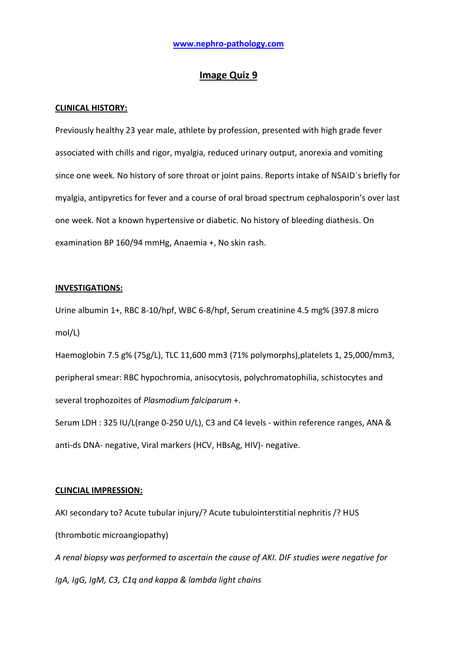# **Image Quiz 9**

### **CLINICAL HISTORY:**

Previously healthy 23 year male, athlete by profession, presented with high grade fever associated with chills and rigor, myalgia, reduced urinary output, anorexia and vomiting since one week. No history of sore throat or joint pains. Reports intake of NSAID`s briefly for myalgia, antipyretics for fever and a course of oral broad spectrum cephalosporin's over last one week. Not a known hypertensive or diabetic. No history of bleeding diathesis. On examination BP 160/94 mmHg, Anaemia +, No skin rash.

#### **INVESTIGATIONS:**

Urine albumin 1+, RBC 8-10/hpf, WBC 6-8/hpf, Serum creatinine 4.5 mg% (397.8 micro mol/L)

Haemoglobin 7.5 g% (75g/L), TLC 11,600 mm3 (71% polymorphs),platelets 1, 25,000/mm3, peripheral smear: RBC hypochromia, anisocytosis, polychromatophilia, schistocytes and several trophozoites of *Plasmodium falciparum* +.

Serum LDH : 325 IU/L(range 0-250 U/L), C3 and C4 levels - within reference ranges, ANA & anti-ds DNA- negative, Viral markers (HCV, HBsAg, HIV)- negative.

### **CLINCIAL IMPRESSION:**

AKI secondary to? Acute tubular injury/? Acute tubulointerstitial nephritis /? HUS (thrombotic microangiopathy) *A renal biopsy was performed to ascertain the cause of AKI. DIF studies were negative for* 

*IgA, IgG, IgM, C3, C1q and kappa & lambda light chains*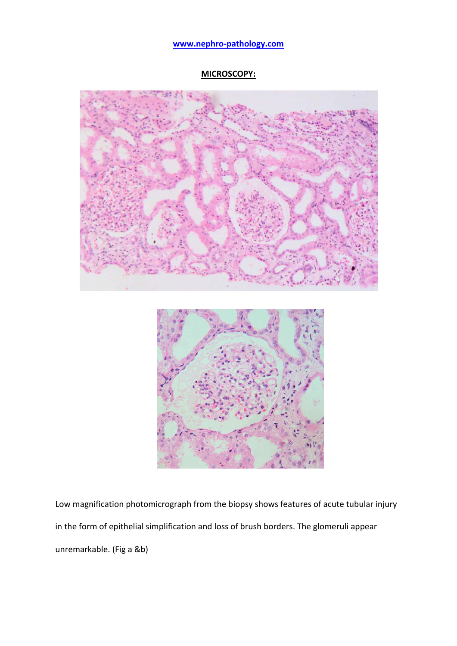# **MICROSCOPY:**



Low magnification photomicrograph from the biopsy shows features of acute tubular injury in the form of epithelial simplification and loss of brush borders. The glomeruli appear unremarkable. (Fig a &b)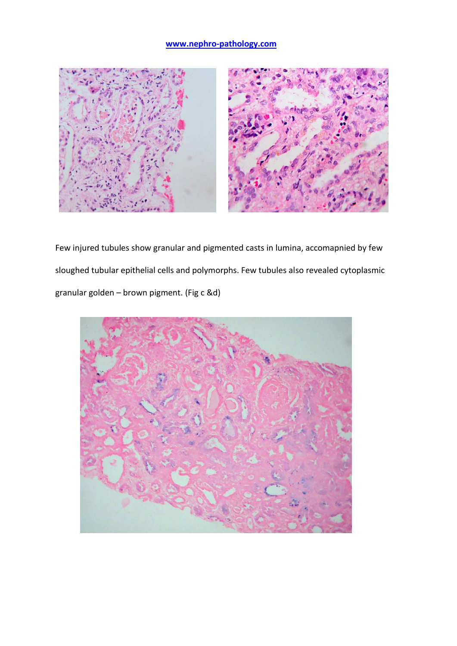

Few injured tubules show granular and pigmented casts in lumina, accomapnied by few sloughed tubular epithelial cells and polymorphs. Few tubules also revealed cytoplasmic granular golden – brown pigment. (Fig c &d)

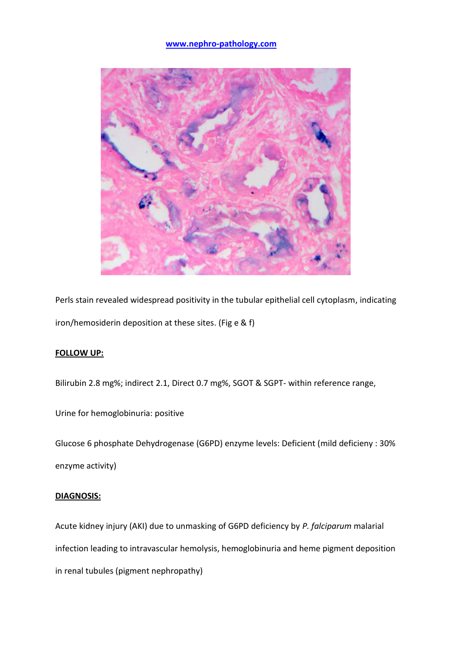

Perls stain revealed widespread positivity in the tubular epithelial cell cytoplasm, indicating iron/hemosiderin deposition at these sites. (Fig e & f)

# **FOLLOW UP:**

Bilirubin 2.8 mg%; indirect 2.1, Direct 0.7 mg%, SGOT & SGPT- within reference range,

Urine for hemoglobinuria: positive

Glucose 6 phosphate Dehydrogenase (G6PD) enzyme levels: Deficient (mild deficieny : 30% enzyme activity)

### **DIAGNOSIS:**

Acute kidney injury (AKI) due to unmasking of G6PD deficiency by *P. falciparum* malarial infection leading to intravascular hemolysis, hemoglobinuria and heme pigment deposition in renal tubules (pigment nephropathy)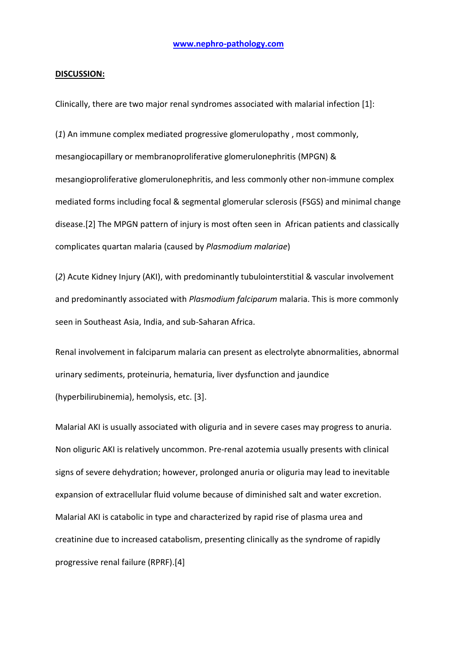#### **DISCUSSION:**

Clinically, there are two major renal syndromes associated with malarial infection [1]:

(*1*) An immune complex mediated progressive glomerulopathy , most commonly, mesangiocapillary or membranoproliferative glomerulonephritis (MPGN) & mesangioproliferative glomerulonephritis, and less commonly other non-immune complex mediated forms including focal & segmental glomerular sclerosis (FSGS) and minimal change disease.[2] The MPGN pattern of injury is most often seen in African patients and classically complicates quartan malaria (caused by *Plasmodium malariae*)

(*2*) Acute Kidney Injury (AKI), with predominantly tubulointerstitial & vascular involvement and predominantly associated with *Plasmodium falciparum* malaria. This is more commonly seen in Southeast Asia, India, and sub-Saharan Africa.

Renal involvement in falciparum malaria can present as electrolyte abnormalities, abnormal urinary sediments, proteinuria, hematuria, liver dysfunction and jaundice (hyperbilirubinemia), hemolysis, etc. [3].

Malarial AKI is usually associated with oliguria and in severe cases may progress to anuria. Non oliguric AKI is relatively uncommon. Pre-renal azotemia usually presents with clinical signs of severe dehydration; however, prolonged anuria or oliguria may lead to inevitable expansion of extracellular fluid volume because of diminished salt and water excretion. Malarial AKI is catabolic in type and characterized by rapid rise of plasma urea and creatinine due to increased catabolism, presenting clinically as the syndrome of rapidly progressive renal failure (RPRF).[4]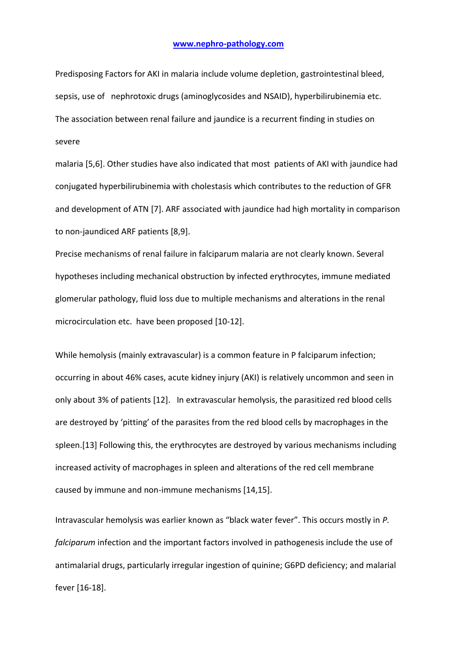Predisposing Factors for AKI in malaria include volume depletion, gastrointestinal bleed, sepsis, use of nephrotoxic drugs (aminoglycosides and NSAID), hyperbilirubinemia etc. The association between renal failure and jaundice is a recurrent finding in studies on severe

malaria [5,6]. Other studies have also indicated that most patients of AKI with jaundice had conjugated hyperbilirubinemia with cholestasis which contributes to the reduction of GFR and development of ATN [7]. ARF associated with jaundice had high mortality in comparison to non-jaundiced ARF patients [8,9].

Precise mechanisms of renal failure in falciparum malaria are not clearly known. Several hypotheses including mechanical obstruction by infected erythrocytes, immune mediated glomerular pathology, fluid loss due to multiple mechanisms and alterations in the renal microcirculation etc. have been proposed [10-12].

While hemolysis (mainly extravascular) is a common feature in P falciparum infection; occurring in about 46% cases, acute kidney injury (AKI) is relatively uncommon and seen in only about 3% of patients [12]. In extravascular hemolysis, the parasitized red blood cells are destroyed by 'pitting' of the parasites from the red blood cells by macrophages in the spleen.[13] Following this, the erythrocytes are destroyed by various mechanisms including increased activity of macrophages in spleen and alterations of the red cell membrane caused by immune and non-immune mechanisms [14,15].

Intravascular hemolysis was earlier known as "black water fever". This occurs mostly in *P. falciparum* infection and the important factors involved in pathogenesis include the use of antimalarial drugs, particularly irregular ingestion of quinine; G6PD deficiency; and malarial fever [16-18].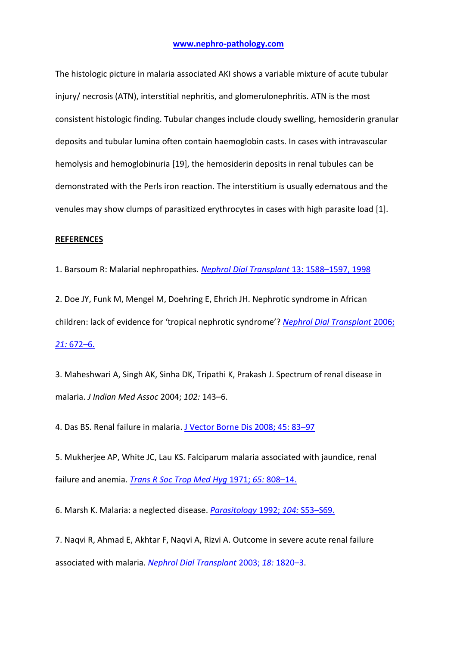The histologic picture in malaria associated AKI shows a variable mixture of acute tubular injury/ necrosis (ATN), interstitial nephritis, and glomerulonephritis. ATN is the most consistent histologic finding. Tubular changes include cloudy swelling, hemosiderin granular deposits and tubular lumina often contain haemoglobin casts. In cases with intravascular hemolysis and hemoglobinuria [19], the hemosiderin deposits in renal tubules can be demonstrated with the Perls iron reaction. The interstitium is usually edematous and the venules may show clumps of parasitized erythrocytes in cases with high parasite load [1].

### **REFERENCES**

1. Barsoum R: Malarial nephropathies. *[Nephrol Dial Transplant](http://ndt.oxfordjournals.org/content/13/6/1588.long)* 13: 1588–1597, 1998

2. Doe JY, Funk M, Mengel M, Doehring E, Ehrich JH. Nephrotic syndrome in African children: lack of evidence for 'tropical nephrotic syndrome'? *[Nephrol Dial Transplant](http://www.ncbi.nlm.nih.gov/pubmed?term=Nephrol%20Dial%20Transplant%202006%3B%2021%3A%20672%E2%80%936.)* 2006; *21:* [672](http://www.ncbi.nlm.nih.gov/pubmed?term=Nephrol%20Dial%20Transplant%202006%3B%2021%3A%20672%E2%80%936.)–6.

3. Maheshwari A, Singh AK, Sinha DK, Tripathi K, Prakash J. Spectrum of renal disease in malaria. *J Indian Med Assoc* 2004; *102:* 143–6.

4. Das BS. Renal failure in malaria. [J Vector Borne Dis](http://www.ncbi.nlm.nih.gov/pubmed?term=Das%20BS.%20Renal%20failure%20in%20malaria.%20J%20Vector%20Borne%20Dis%202008%3B%2045%3A%2083%E2%80%9397) 2008; 45: 83–97

5. Mukherjee AP, White JC, Lau KS. Falciparum malaria associated with jaundice, renal failure and anemia. *Trans [R Soc Trop Med Hyg](http://www.ncbi.nlm.nih.gov/pubmed?term=Trans%20R%20Soc%20Trop%20Med%20Hyg%201971%3B%2065%3A%20808%E2%80%9314.)* 1971; *65:* 808–14.

6. Marsh K. Malaria: a neglected disease. *[Parasitology](http://www.ncbi.nlm.nih.gov/pubmed?term=Parasitology%201992%3B%20104%3A%20S53%E2%80%93S69.)* 1992; *104:* S53–S69.

7. Naqvi R, Ahmad E, Akhtar F, Naqvi A, Rizvi A. Outcome in severe acute renal failure associated with malaria. *[Nephrol Dial Transplant](http://www.ncbi.nlm.nih.gov/pubmed?term=Nephrol%20Dial%20Transplant%202003%3B%2018%3A%201820%E2%80%933)* 2003; *18:* 1820–3.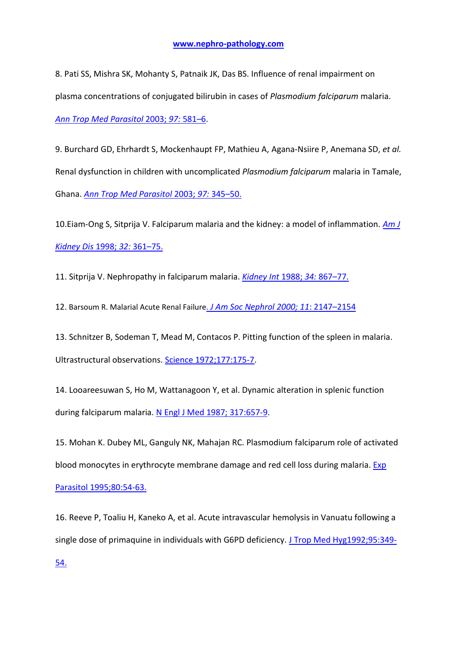8. Pati SS, Mishra SK, Mohanty S, Patnaik JK, Das BS. Influence of renal impairment on plasma concentrations of conjugated bilirubin in cases of *Plasmodium falciparum* malaria. *[Ann Trop Med Parasitol](http://www.ncbi.nlm.nih.gov/pubmed?term=Ann%20Trop%20Med%20Parasitol%202003%3B%2097%3A%20581%E2%80%936)* 2003; *97:* 581–6.

9. Burchard GD, Ehrhardt S, Mockenhaupt FP, Mathieu A, Agana-Nsiire P, Anemana SD, *et al.*  Renal dysfunction in children with uncomplicated *Plasmodium falciparum* malaria in Tamale, Ghana. *[Ann Trop Med Parasitol](http://www.ncbi.nlm.nih.gov/pubmed?term=Ann%20Trop%20Med%20Parasitol%202003%3B%2097%3A%20345%E2%80%9350.)* 2003; *97:* 345–50.

10.Eiam-Ong S, Sitprija V. Falciparum malaria and the kidney: a model of inflammation. *[Am J](http://www.ncbi.nlm.nih.gov/pubmed?term=Am%20J%20Kidney%20Dis%201998%3B%2032%3A%20361%E2%80%9375.)  [Kidney Dis](http://www.ncbi.nlm.nih.gov/pubmed?term=Am%20J%20Kidney%20Dis%201998%3B%2032%3A%20361%E2%80%9375.)* 1998; *32:* 361–75.

11. Sitprija V. Nephropathy in falciparum malaria. *[Kidney Int](http://www.ncbi.nlm.nih.gov/pubmed?term=Kidney%20Int%201988%3B%2034%3A%20867%E2%80%9377.)* 1988; *34:* 867–77.

12. Barsoum R. Malarial Acute Renal Failure. *[J Am Soc Nephrol 2000; 11](http://www.ncbi.nlm.nih.gov/pubmed?term=.%20J%20Am%20Soc%20Nephrol%2011%3A%202147%E2%80%932154%2C%202000)*: 2147–2154

13. Schnitzer B, Sodeman T, Mead M, Contacos P. Pitting function of the spleen in malaria. Ultrastructural observations. [Science 1972;177:175-7.](http://www.ncbi.nlm.nih.gov/pubmed?term=Schnitzer%20B%2C%20Sodeman%20T%2C%20Mead%20M%2C%20Contacos%20P.%20Pitting%20function%20of%20the%20spleen%20in%20malaria.%20Ultrastructural%20observations.%20Science%201972%3B177%3A175-7.)

14. Looareesuwan S, Ho M, Wattanagoon Y, et al. Dynamic alteration in splenic function during falciparum malaria. N [Engl J Med 1987;](http://www.ncbi.nlm.nih.gov/pubmed?term=Looareesuwan%20S%2C%20Ho%20M%2C%20Wattanagoon%20Y%2C%20et%20al.%20Dynamic%20alteration%20in%20splenic%20function%20during%20falciparum%20malaria.%20N%20Engl%20J%20Med%201987%3B%20317%3A657-9.) 317:657-9.

15. Mohan K. Dubey ML, Ganguly NK, Mahajan RC. Plasmodium falciparum role of activated blood monocytes in erythrocyte membrane damage and red cell loss during malaria. Exp [Parasitol 1995;80:54-63.](http://www.ncbi.nlm.nih.gov/pubmed?term=Exp%20Parasitol%201995%3B80%3A54-63.)

16. Reeve P, Toaliu H, Kaneko A, et al. Acute intravascular hemolysis in Vanuatu following a single dose of primaquine in individuals with G6PD deficiency. [J Trop Med Hyg1992;95:349-](http://www.ncbi.nlm.nih.gov/pubmed?term=Reeve%20P%2C%20Toaliu%20H%2C%20Kaneko%20A%2C%20et%20al.%20Acute%20intravascular%20hemolysis%20in%20Vanuatu%20following%20a%20single%20dose%20of%20primaquine%20in%20individuals%20with%20G6PD%20deficiency.%20J%20Trop%20Med%20Hyg1992%3B95%3A349-54.)

[54.](http://www.ncbi.nlm.nih.gov/pubmed?term=Reeve%20P%2C%20Toaliu%20H%2C%20Kaneko%20A%2C%20et%20al.%20Acute%20intravascular%20hemolysis%20in%20Vanuatu%20following%20a%20single%20dose%20of%20primaquine%20in%20individuals%20with%20G6PD%20deficiency.%20J%20Trop%20Med%20Hyg1992%3B95%3A349-54.)